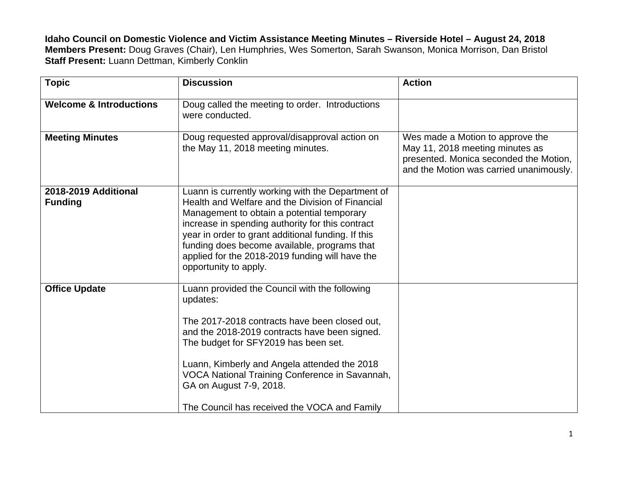**Idaho Council on Domestic Violence and Victim Assistance Meeting Minutes – Riverside Hotel – August 24, 2018 Members Present:** Doug Graves (Chair), Len Humphries, Wes Somerton, Sarah Swanson, Monica Morrison, Dan Bristol **Staff Present:** Luann Dettman, Kimberly Conklin

| <b>Topic</b>                           | <b>Discussion</b>                                                                                                                                                                                                                                                                                                                                                                         | <b>Action</b>                                                                                                                                            |
|----------------------------------------|-------------------------------------------------------------------------------------------------------------------------------------------------------------------------------------------------------------------------------------------------------------------------------------------------------------------------------------------------------------------------------------------|----------------------------------------------------------------------------------------------------------------------------------------------------------|
| <b>Welcome &amp; Introductions</b>     | Doug called the meeting to order. Introductions<br>were conducted.                                                                                                                                                                                                                                                                                                                        |                                                                                                                                                          |
| <b>Meeting Minutes</b>                 | Doug requested approval/disapproval action on<br>the May 11, 2018 meeting minutes.                                                                                                                                                                                                                                                                                                        | Wes made a Motion to approve the<br>May 11, 2018 meeting minutes as<br>presented. Monica seconded the Motion,<br>and the Motion was carried unanimously. |
| 2018-2019 Additional<br><b>Funding</b> | Luann is currently working with the Department of<br>Health and Welfare and the Division of Financial<br>Management to obtain a potential temporary<br>increase in spending authority for this contract<br>year in order to grant additional funding. If this<br>funding does become available, programs that<br>applied for the 2018-2019 funding will have the<br>opportunity to apply. |                                                                                                                                                          |
| <b>Office Update</b>                   | Luann provided the Council with the following<br>updates:<br>The 2017-2018 contracts have been closed out,<br>and the 2018-2019 contracts have been signed.<br>The budget for SFY2019 has been set.<br>Luann, Kimberly and Angela attended the 2018<br>VOCA National Training Conference in Savannah,<br>GA on August 7-9, 2018.<br>The Council has received the VOCA and Family          |                                                                                                                                                          |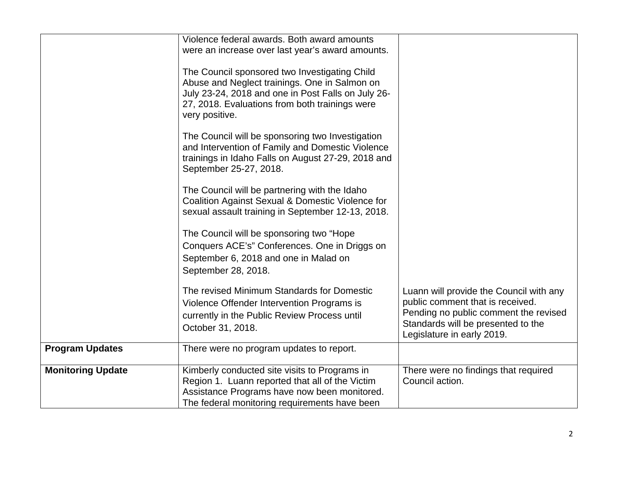|                          | Violence federal awards. Both award amounts<br>were an increase over last year's award amounts.                                                                                                                          |                                                                                                                                                                                          |
|--------------------------|--------------------------------------------------------------------------------------------------------------------------------------------------------------------------------------------------------------------------|------------------------------------------------------------------------------------------------------------------------------------------------------------------------------------------|
|                          | The Council sponsored two Investigating Child<br>Abuse and Neglect trainings. One in Salmon on<br>July 23-24, 2018 and one in Post Falls on July 26-<br>27, 2018. Evaluations from both trainings were<br>very positive. |                                                                                                                                                                                          |
|                          | The Council will be sponsoring two Investigation<br>and Intervention of Family and Domestic Violence<br>trainings in Idaho Falls on August 27-29, 2018 and<br>September 25-27, 2018.                                     |                                                                                                                                                                                          |
|                          | The Council will be partnering with the Idaho<br>Coalition Against Sexual & Domestic Violence for<br>sexual assault training in September 12-13, 2018.                                                                   |                                                                                                                                                                                          |
|                          | The Council will be sponsoring two "Hope<br>Conquers ACE's" Conferences. One in Driggs on<br>September 6, 2018 and one in Malad on<br>September 28, 2018.                                                                |                                                                                                                                                                                          |
|                          | The revised Minimum Standards for Domestic<br>Violence Offender Intervention Programs is<br>currently in the Public Review Process until<br>October 31, 2018.                                                            | Luann will provide the Council with any<br>public comment that is received.<br>Pending no public comment the revised<br>Standards will be presented to the<br>Legislature in early 2019. |
| <b>Program Updates</b>   | There were no program updates to report.                                                                                                                                                                                 |                                                                                                                                                                                          |
| <b>Monitoring Update</b> | Kimberly conducted site visits to Programs in<br>Region 1. Luann reported that all of the Victim<br>Assistance Programs have now been monitored.<br>The federal monitoring requirements have been                        | There were no findings that required<br>Council action.                                                                                                                                  |